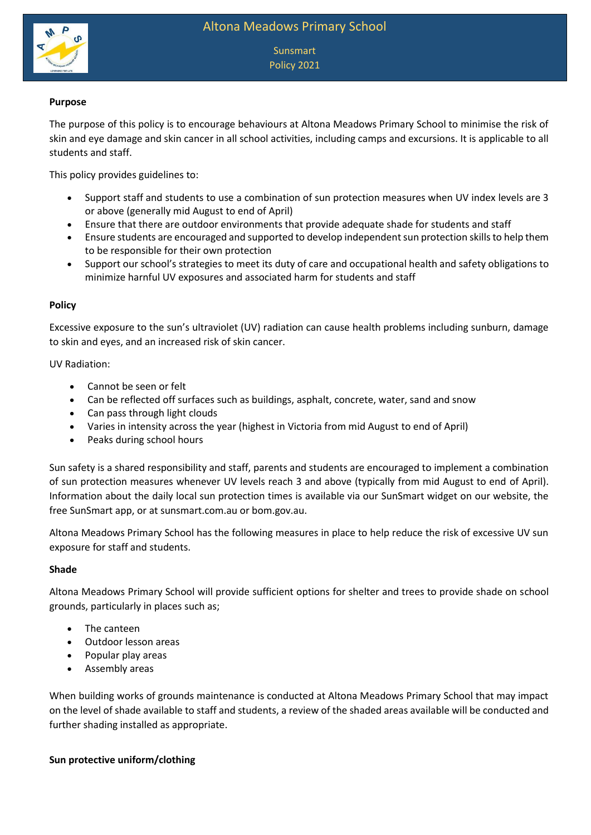

**Sunsmart** Policy 2021

# **Purpose**

The purpose of this policy is to encourage behaviours at Altona Meadows Primary School to minimise the risk of skin and eye damage and skin cancer in all school activities, including camps and excursions. It is applicable to all students and staff.

This policy provides guidelines to:

- Support staff and students to use a combination of sun protection measures when UV index levels are 3 or above (generally mid August to end of April)
- Ensure that there are outdoor environments that provide adequate shade for students and staff
- Ensure students are encouraged and supported to develop independent sun protection skills to help them to be responsible for their own protection
- Support our school's strategies to meet its duty of care and occupational health and safety obligations to minimize harnful UV exposures and associated harm for students and staff

# **Policy**

Excessive exposure to the sun's ultraviolet (UV) radiation can cause health problems including sunburn, damage to skin and eyes, and an increased risk of skin cancer.

### UV Radiation:

- Cannot be seen or felt
- Can be reflected off surfaces such as buildings, asphalt, concrete, water, sand and snow
- Can pass through light clouds
- Varies in intensity across the year (highest in Victoria from mid August to end of April)
- Peaks during school hours

Sun safety is a shared responsibility and staff, parents and students are encouraged to implement a combination of sun protection measures whenever UV levels reach 3 and above (typically from mid August to end of April). Information about the daily local sun protection times is available via our SunSmart widget on our website, the free SunSmart app, or at sunsmart.com.au or bom.gov.au.

Altona Meadows Primary School has the following measures in place to help reduce the risk of excessive UV sun exposure for staff and students.

### **Shade**

Altona Meadows Primary School will provide sufficient options for shelter and trees to provide shade on school grounds, particularly in places such as;

- The canteen
- Outdoor lesson areas
- Popular play areas
- Assembly areas

When building works of grounds maintenance is conducted at Altona Meadows Primary School that may impact on the level of shade available to staff and students, a review of the shaded areas available will be conducted and further shading installed as appropriate.

### **Sun protective uniform/clothing**